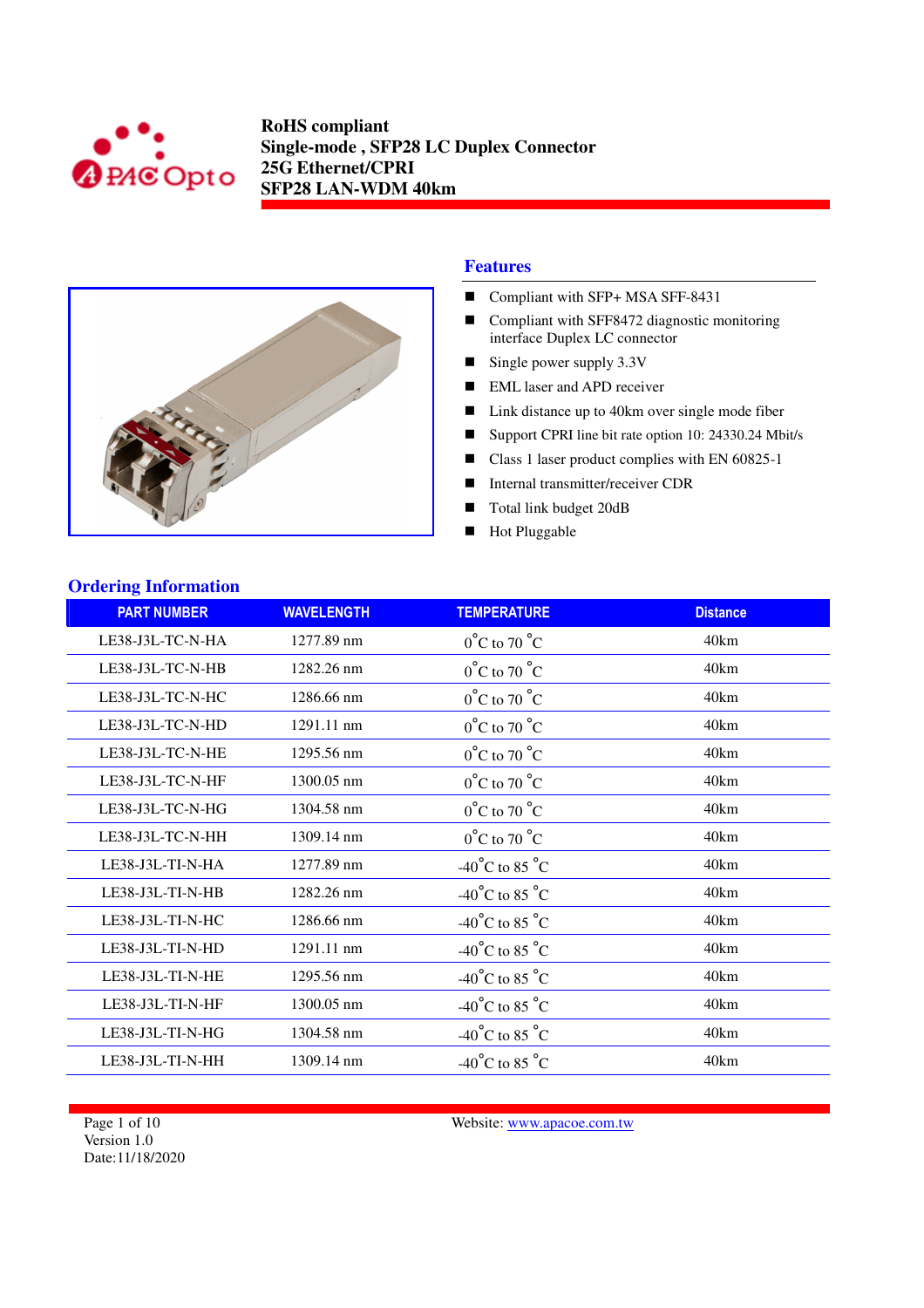



#### **Features**

- Compliant with SFP+ MSA SFF-8431
- Compliant with SFF8472 diagnostic monitoring interface Duplex LC connector
- Single power supply 3.3V
- EML laser and APD receiver
- Link distance up to 40km over single mode fiber
- Support CPRI line bit rate option 10: 24330.24 Mbit/s
- Class 1 laser product complies with EN 60825-1
- Internal transmitter/receiver CDR
- Total link budget 20dB
- **Hot Pluggable**

| <b>Ordering Information</b> |                   |                                    |                 |
|-----------------------------|-------------------|------------------------------------|-----------------|
| <b>PART NUMBER</b>          | <b>WAVELENGTH</b> | <b>TEMPERATURE</b>                 | <b>Distance</b> |
| LE38-J3L-TC-N-HA            | 1277.89 nm        | $0^{\circ}$ C to 70 $^{\circ}$ C   | 40km            |
| LE38-J3L-TC-N-HB            | 1282.26 nm        | $0^{\circ}$ C to 70 $^{\circ}$ C   | 40km            |
| LE38-J3L-TC-N-HC            | 1286.66 nm        | $0^{\circ}$ C to 70 $^{\circ}$ C   | 40km            |
| LE38-J3L-TC-N-HD            | 1291.11 nm        | $0^{\circ}$ C to 70 $^{\circ}$ C   | 40km            |
| LE38-J3L-TC-N-HE            | 1295.56 nm        | $0^{\circ}$ C to 70 $^{\circ}$ C   | 40km            |
| LE38-J3L-TC-N-HF            | 1300.05 nm        | $0^{\circ}$ C to 70 $^{\circ}$ C   | 40km            |
| LE38-J3L-TC-N-HG            | 1304.58 nm        | $0^{\circ}$ C to 70 $^{\circ}$ C   | 40km            |
| LE38-J3L-TC-N-HH            | 1309.14 nm        | $0^{\circ}$ C to 70 $^{\circ}$ C   | 40km            |
| LE38-J3L-TI-N-HA            | 1277.89 nm        | $-40^{\circ}$ C to 85 $^{\circ}$ C | 40km            |
| LE38-J3L-TI-N-HB            | 1282.26 nm        | -40°C to 85 °C                     | 40km            |
| LE38-J3L-TI-N-HC            | 1286.66 nm        | -40°C to 85 °C                     | 40km            |
| LE38-J3L-TI-N-HD            | 1291.11 nm        | -40°C to 85 $^{\circ}$ C           | 40km            |
| LE38-J3L-TI-N-HE            | 1295.56 nm        | $-40^{\circ}$ C to 85 $^{\circ}$ C | 40km            |
| LE38-J3L-TI-N-HF            | 1300.05 nm        | $-40^{\circ}$ C to 85 $^{\circ}$ C | 40km            |
| LE38-J3L-TI-N-HG            | 1304.58 nm        | -40°C to 85 °C                     | 40km            |
| LE38-J3L-TI-N-HH            | 1309.14 nm        | $-40^{\circ}$ C to 85 $^{\circ}$ C | 40km            |

Page 1 of 10 Version 1.0 Date:11/18/2020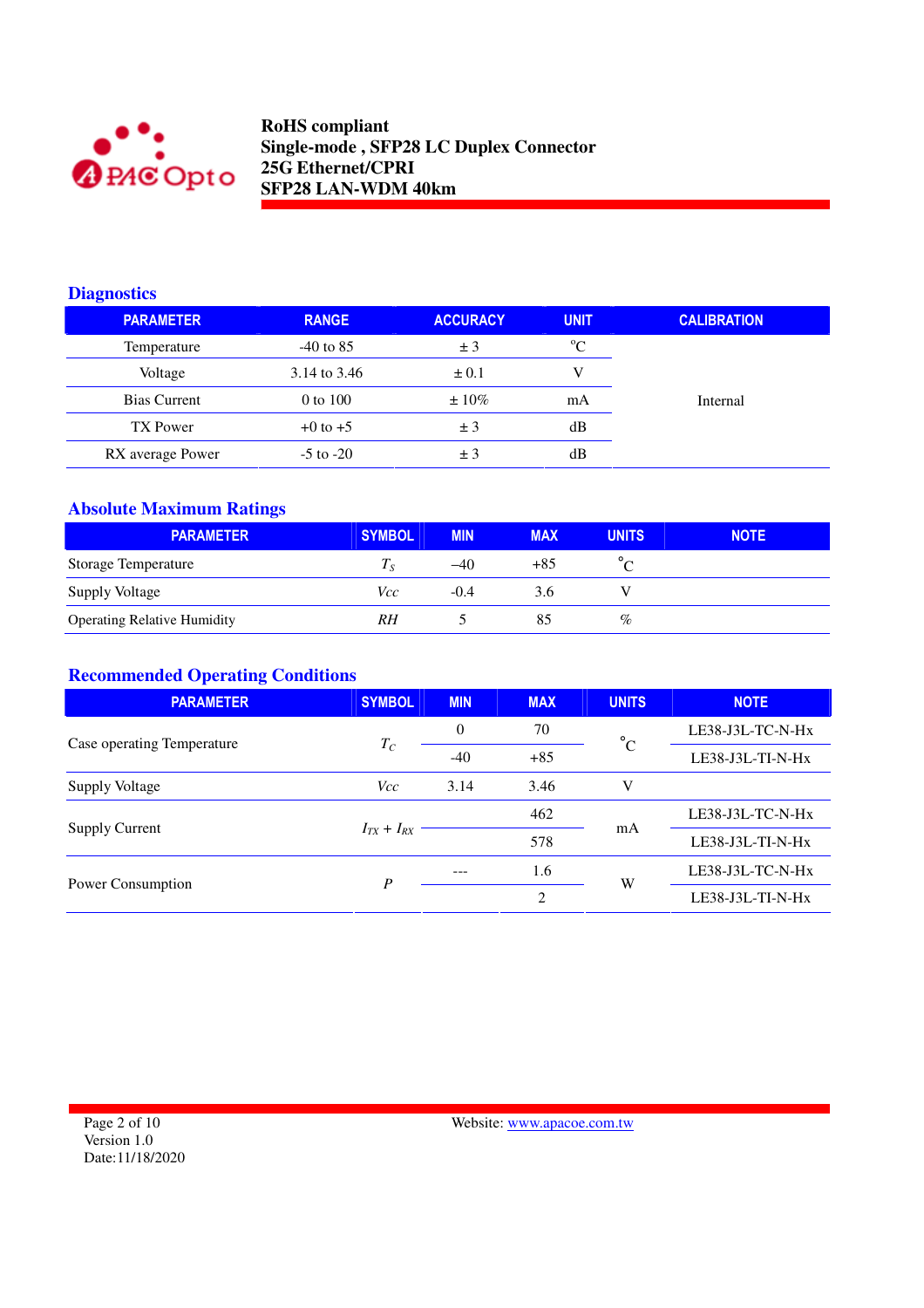

#### **Diagnostics**

| <b>PARAMETER</b> | <b>RANGE</b>  | <b>ACCURACY</b> | <b>UNIT</b> | <b>CALIBRATION</b> |
|------------------|---------------|-----------------|-------------|--------------------|
| Temperature      | $-40$ to 85   | ± 3             | $^{\circ}C$ |                    |
| Voltage          | 3.14 to 3.46  | $\pm 0.1$       | V           |                    |
| Bias Current     | $0$ to $100$  | $\pm 10\%$      | mA          | Internal           |
| TX Power         | $+0$ to $+5$  | ± 3             | dВ          |                    |
| RX average Power | $-5$ to $-20$ | ± 3             | dВ          |                    |

# **Absolute Maximum Ratings**

| <b>PARAMETER</b>                   | <b>SYMBOL</b> | <b>MIN</b> | <b>MAX</b> | <b>UNITS</b> | <b>NOTE</b> |
|------------------------------------|---------------|------------|------------|--------------|-------------|
| Storage Temperature                | $I_S$         | $-40$      | $+85$      |              |             |
| <b>Supply Voltage</b>              | Vcc           | $-0.4$     | 3.6        |              |             |
| <b>Operating Relative Humidity</b> | RH            |            | 85         | %            |             |

## **Recommended Operating Conditions**

| <b>PARAMETER</b>           | <b>SYMBOL</b>     | <b>MIN</b> | <b>MAX</b>     | <b>UNITS</b> | <b>NOTE</b>        |
|----------------------------|-------------------|------------|----------------|--------------|--------------------|
| Case operating Temperature | $T_C$             | $\theta$   | 70             | $^{\circ}$ C | LE38-J3L-TC-N-Hx   |
|                            |                   | $-40$      | $+85$          |              | LE38-J3L-TI-N-Hx   |
| Supply Voltage             | <i>Vcc</i>        | 3.14       | 3.46           | V            |                    |
|                            |                   |            | 462            |              | LE38-J3L-TC-N-Hx   |
| <b>Supply Current</b>      | $I_{TX} + I_{RX}$ |            | 578            | mA           | LE38-J3L-TI-N-Hx   |
|                            | P                 |            | 1.6            | W            | LE38-J3L-TC-N-Hx   |
| Power Consumption          |                   |            | $\overline{c}$ |              | $LE38-J3L-TI-N-Hx$ |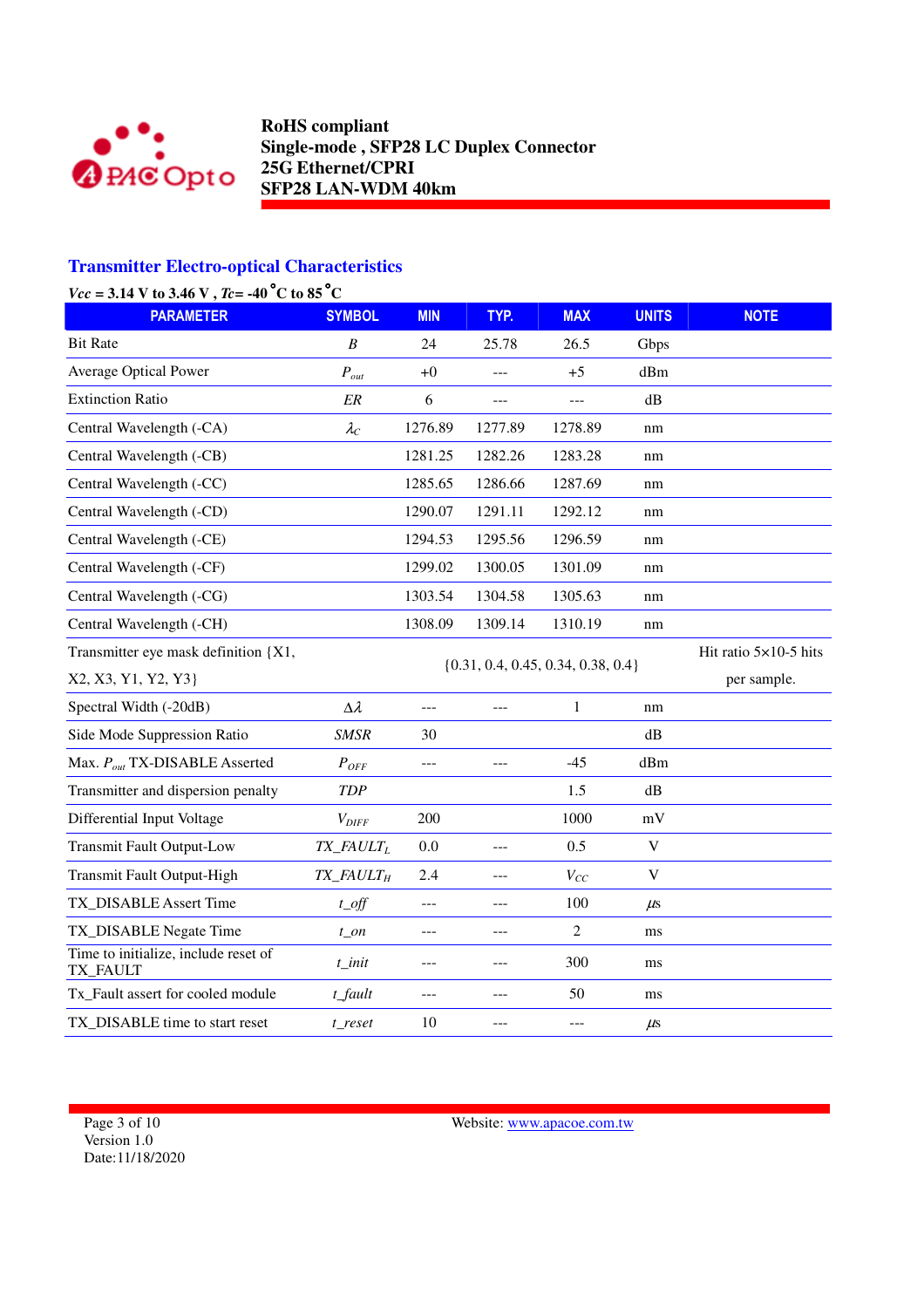

## **Transmitter Electro-optical Characteristics**

|  | $Vcc = 3.14$ V to 3.46 V, $Tc = -40$ °C to 85°C |
|--|-------------------------------------------------|
|  |                                                 |

| <b>PARAMETER</b>                                 | <b>SYMBOL</b>                       | <b>MIN</b>     | TYP.          | <b>MAX</b>                             | <b>UNITS</b>          | <b>NOTE</b> |
|--------------------------------------------------|-------------------------------------|----------------|---------------|----------------------------------------|-----------------------|-------------|
| <b>Bit Rate</b>                                  | $\boldsymbol{B}$                    | 24             | 25.78         | 26.5                                   | Gbps                  |             |
| <b>Average Optical Power</b>                     | $P_{out}$                           | $+0$           | $\frac{1}{2}$ | $+5$                                   | dBm                   |             |
| <b>Extinction Ratio</b>                          | ER                                  | 6              | $\frac{1}{2}$ | $---$                                  | dB                    |             |
| Central Wavelength (-CA)                         | $\lambda_C$                         | 1276.89        | 1277.89       | 1278.89                                | nm                    |             |
| Central Wavelength (-CB)                         |                                     | 1281.25        | 1282.26       | 1283.28                                | nm                    |             |
| Central Wavelength (-CC)                         |                                     | 1285.65        | 1286.66       | 1287.69                                | nm                    |             |
| Central Wavelength (-CD)                         |                                     | 1290.07        | 1291.11       | 1292.12                                | nm                    |             |
| Central Wavelength (-CE)                         |                                     | 1294.53        | 1295.56       | 1296.59                                | nm                    |             |
| Central Wavelength (-CF)                         |                                     | 1299.02        | 1300.05       | 1301.09                                | nm                    |             |
| Central Wavelength (-CG)                         |                                     | 1303.54        | 1304.58       | 1305.63                                | nm                    |             |
| Central Wavelength (-CH)                         |                                     | 1308.09        | 1309.14       | 1310.19                                | nm                    |             |
| Transmitter eye mask definition {X1,             |                                     |                |               |                                        | Hit ratio 5×10-5 hits |             |
| X2, X3, Y1, Y2, Y3}                              |                                     |                |               | $\{0.31, 0.4, 0.45, 0.34, 0.38, 0.4\}$ |                       | per sample. |
| Spectral Width (-20dB)                           | $\Delta \lambda$                    | $---$          | $---$         | 1                                      | nm                    |             |
| Side Mode Suppression Ratio                      | <b>SMSR</b>                         | 30             |               |                                        | $\mathrm{dB}$         |             |
| Max. $P_{out}$ TX-DISABLE Asserted               | $P_{OFF}$                           | $ -$           | ---           | $-45$                                  | dBm                   |             |
| Transmitter and dispersion penalty               | <b>TDP</b>                          |                |               | 1.5                                    | $\mathrm{dB}$         |             |
| Differential Input Voltage                       | $V_{DIFF}$                          | 200            |               | 1000                                   | mV                    |             |
| <b>Transmit Fault Output-Low</b>                 | $TX$ <sub>_FAULT<sub>L</sub></sub>  | 0.0            | ---           | 0.5                                    | $\mathbf V$           |             |
| Transmit Fault Output-High                       | $TX$ <sub><math>FAULT</math>H</sub> | 2.4            | ---           | $V_{CC}$                               | $\mathbf V$           |             |
| TX DISABLE Assert Time                           | $t$ <sub>off</sub>                  | $\overline{a}$ | $---$         | 100                                    | $\mu$ s               |             |
| TX_DISABLE Negate Time                           | $t$ on                              | $---$          | $---$         | $\overline{2}$                         | ms                    |             |
| Time to initialize, include reset of<br>TX_FAULT | $t$ _init                           | $---$          | $---$         | 300                                    | ms                    |             |
| Tx_Fault assert for cooled module                | t_fault                             | $\overline{a}$ | ---           | 50                                     | ms                    |             |
| TX DISABLE time to start reset                   | t reset                             | 10             |               | $---$                                  | $\mu$ s               |             |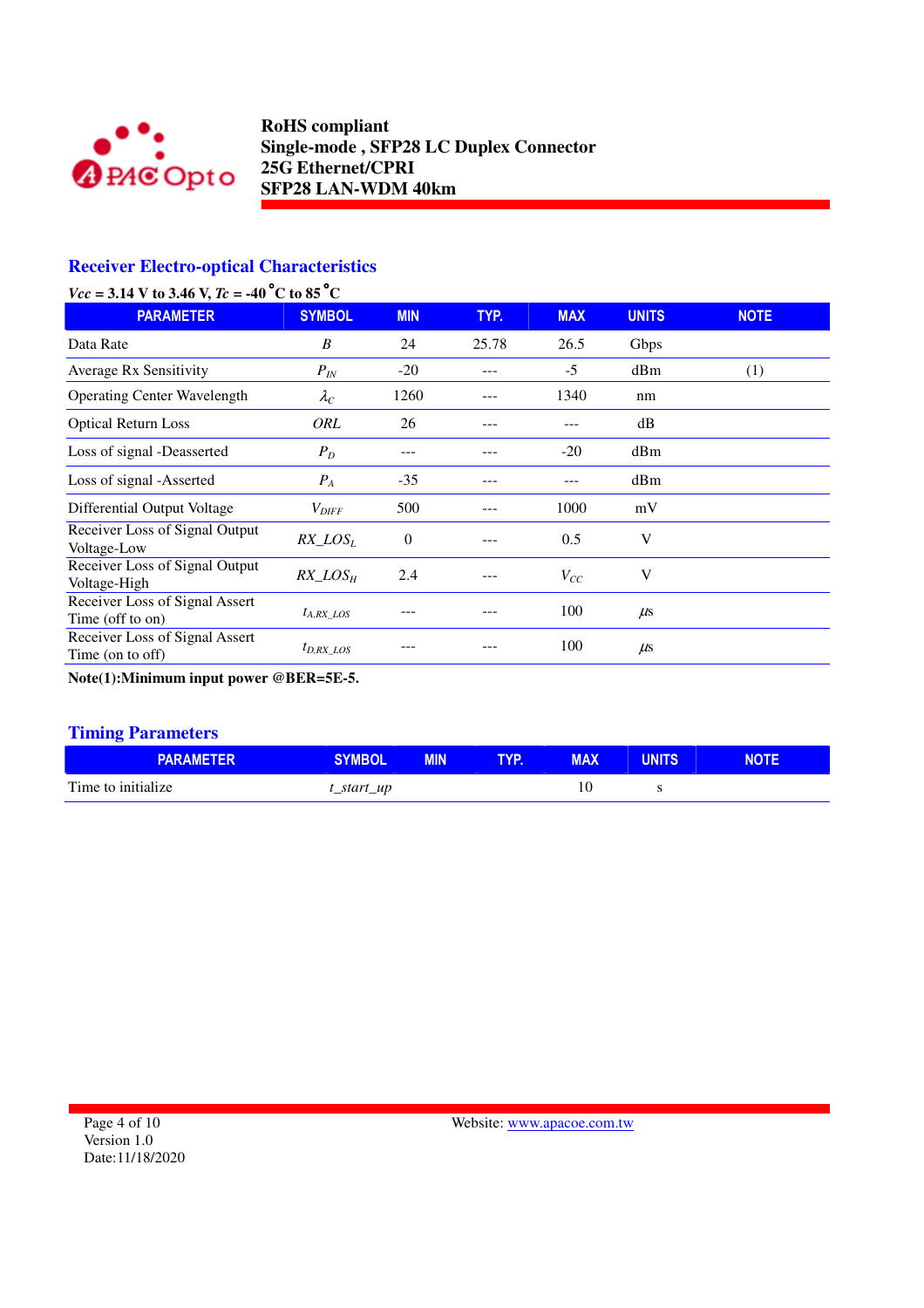

## **Receiver Electro-optical Characteristics**

| $Vcc = 3.14$ V to 3.46 V, $Tc = -40$ °C to 85 °C |  |  |
|--------------------------------------------------|--|--|
|--------------------------------------------------|--|--|

| <b>PARAMETER</b>                                   | <b>SYMBOL</b>     | <b>MIN</b>     | TYP.  | <b>MAX</b> | <b>UNITS</b> | <b>NOTE</b> |
|----------------------------------------------------|-------------------|----------------|-------|------------|--------------|-------------|
| Data Rate                                          | B                 | 24             | 25.78 | 26.5       | Gbps         |             |
| <b>Average Rx Sensitivity</b>                      | $P_{IN}$          | $-20$          |       | $-5$       | dBm          | (1)         |
| <b>Operating Center Wavelength</b>                 | $\lambda_C$       | 1260           |       | 1340       | nm           |             |
| <b>Optical Return Loss</b>                         | ORL               | 26             |       | ---        | dB           |             |
| Loss of signal -Deasserted                         | $P_D$             |                |       | $-20$      | dBm          |             |
| Loss of signal -Asserted                           | $P_{A}$           | $-35$          |       |            | dBm          |             |
| Differential Output Voltage                        | $V_{\text{DIFF}}$ | 500            |       | 1000       | mV           |             |
| Receiver Loss of Signal Output<br>Voltage-Low      | $RX\_LOS_L$       | $\overline{0}$ |       | 0.5        | V            |             |
| Receiver Loss of Signal Output<br>Voltage-High     | $RX\_LOS_H$       | 2.4            |       | $V_{CC}$   | V            |             |
| Receiver Loss of Signal Assert<br>Time (off to on) | $t_{A, RX}$ LOS   |                |       | 100        | $\mu$ s      |             |
| Receiver Loss of Signal Assert<br>Time (on to off) | $t_{D,RX\_LOS}$   |                |       | 100        | $\mu$ s      |             |

**Note(1):Minimum input power @BER=5E-5.** 

#### **Timing Parameters**

| <b>PARAMETER</b>   | <b>SYMBOL</b> | <b>MIN</b> | <b>TYP.</b> | <b>MAX</b> | <b>UNITS</b> | <b>NOTE</b> |
|--------------------|---------------|------------|-------------|------------|--------------|-------------|
| Time to initialize | t_start_up    |            |             | 10         |              |             |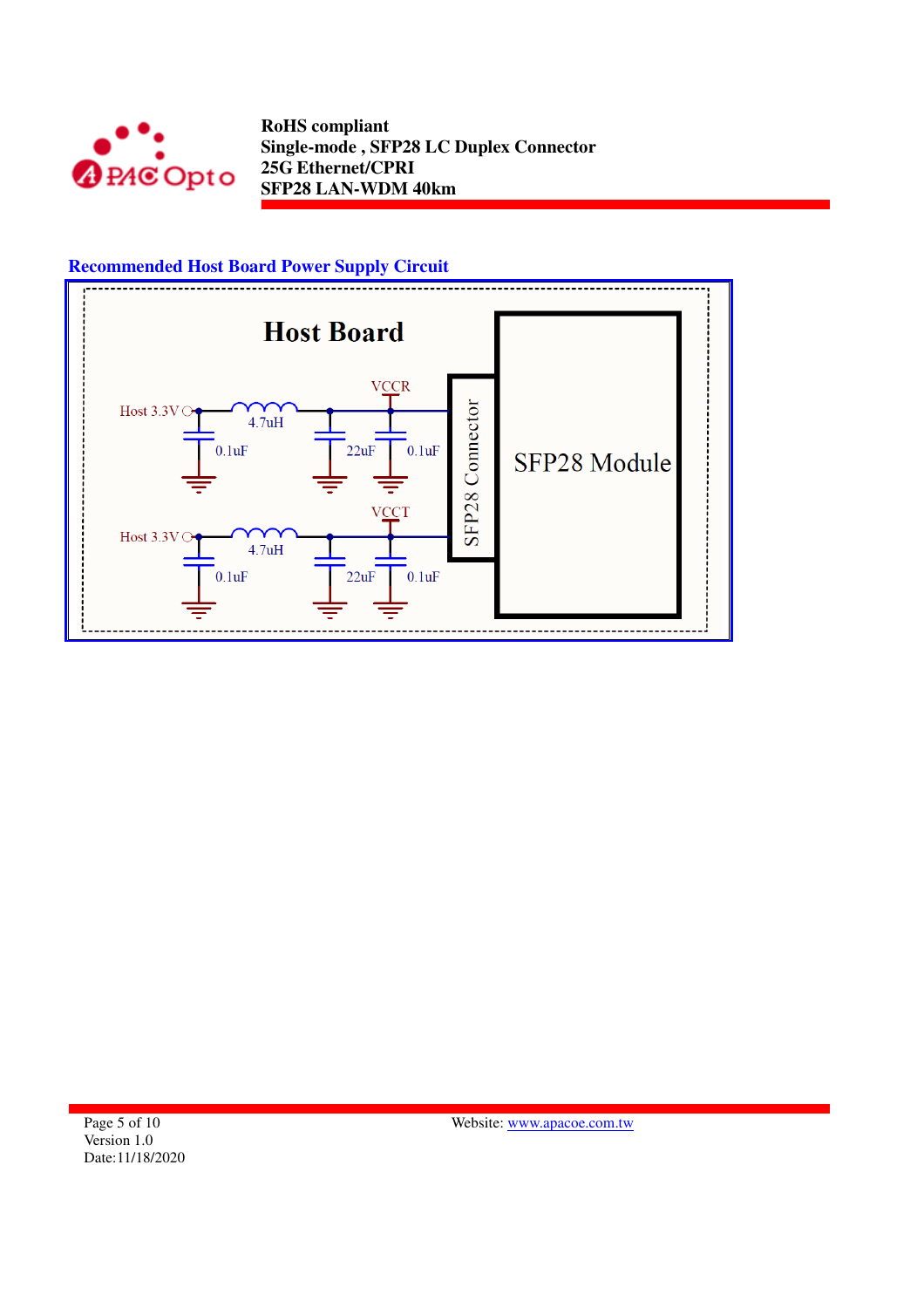



Page 5 of 10 Version 1.0 Date:11/18/2020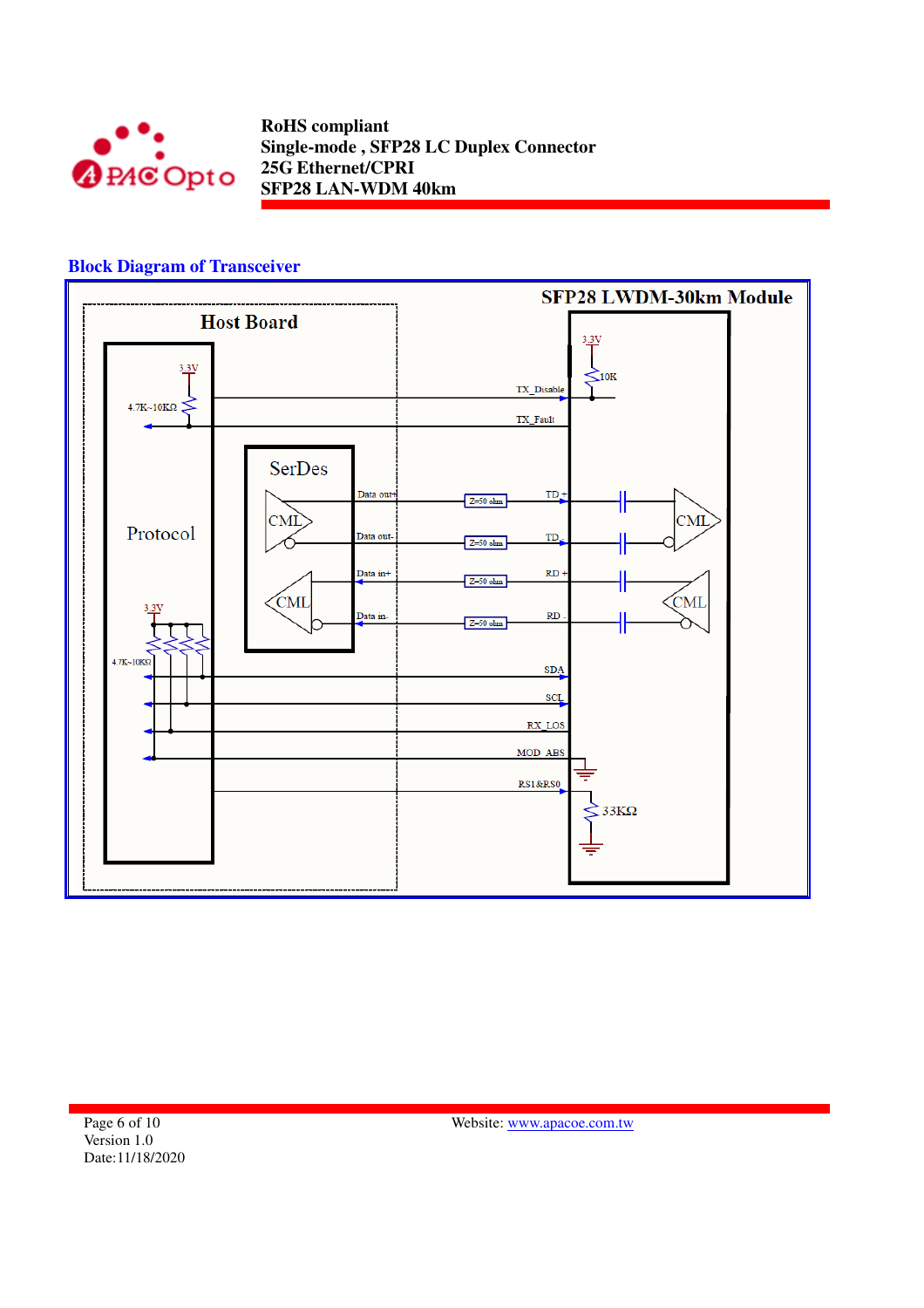

#### **Block Diagram of Transceiver**

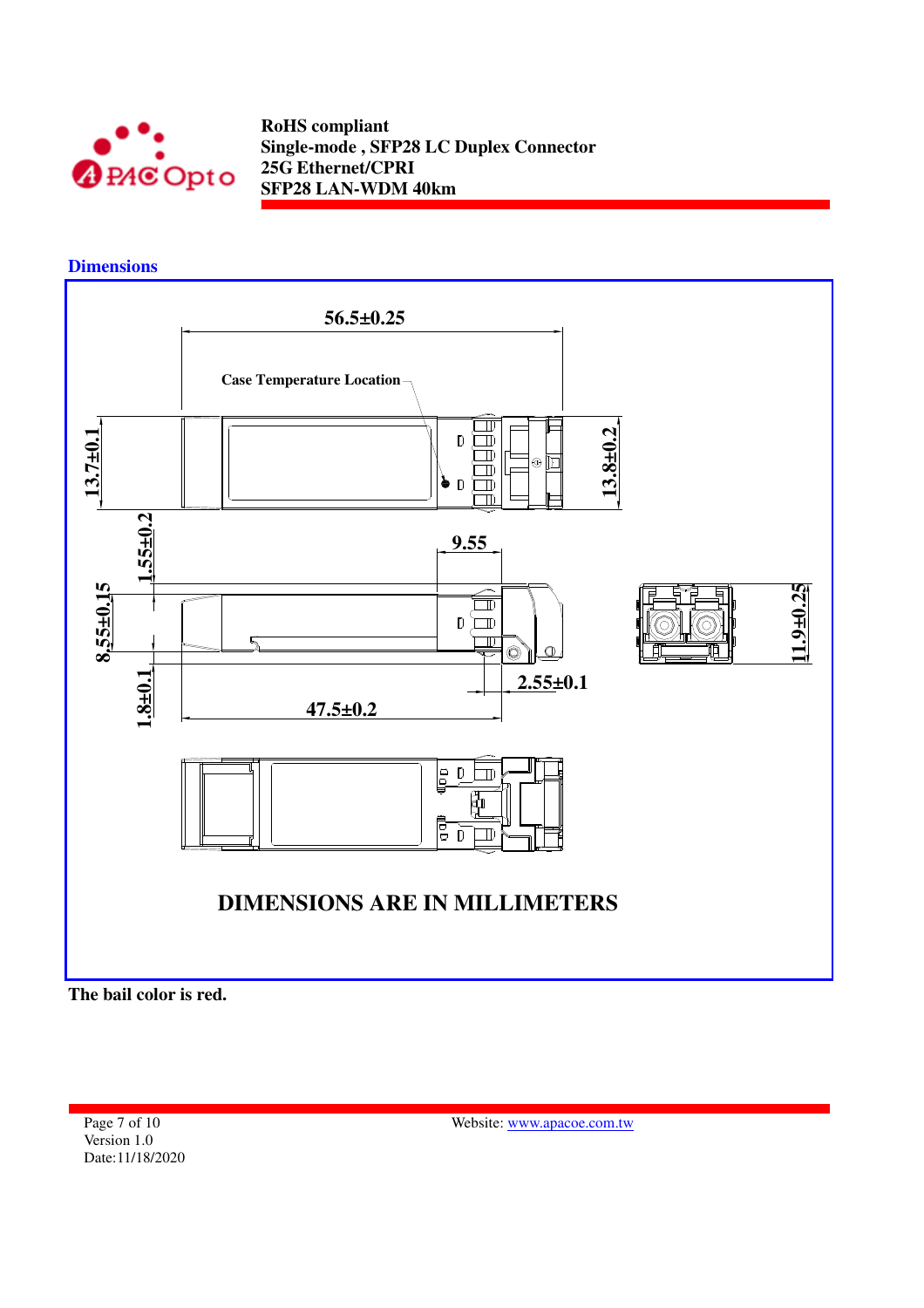

**Dimensions** 



**The bail color is red.** 

Page 7 of 10 Version 1.0 Date:11/18/2020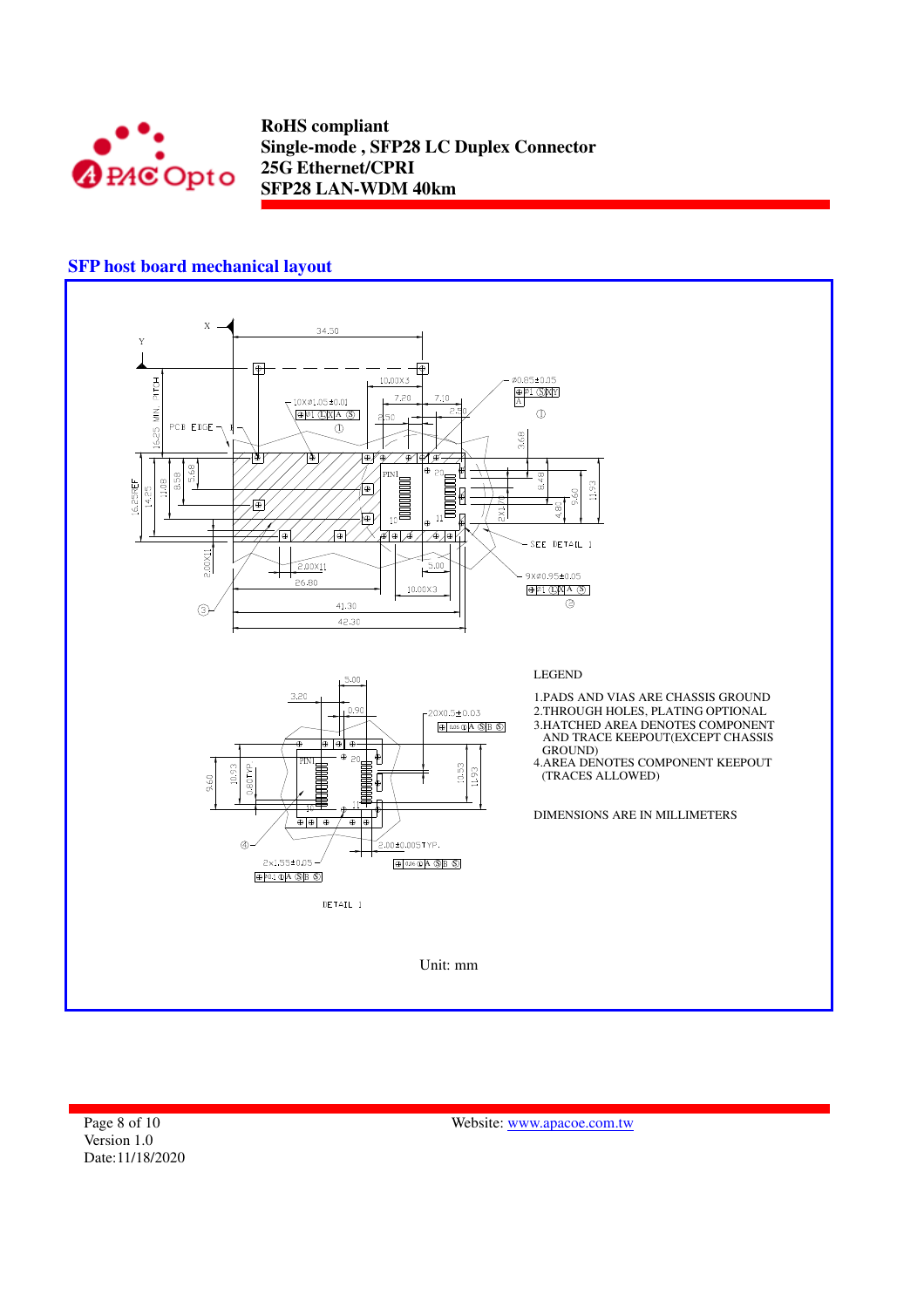

## **SFP host board mechanical layout**

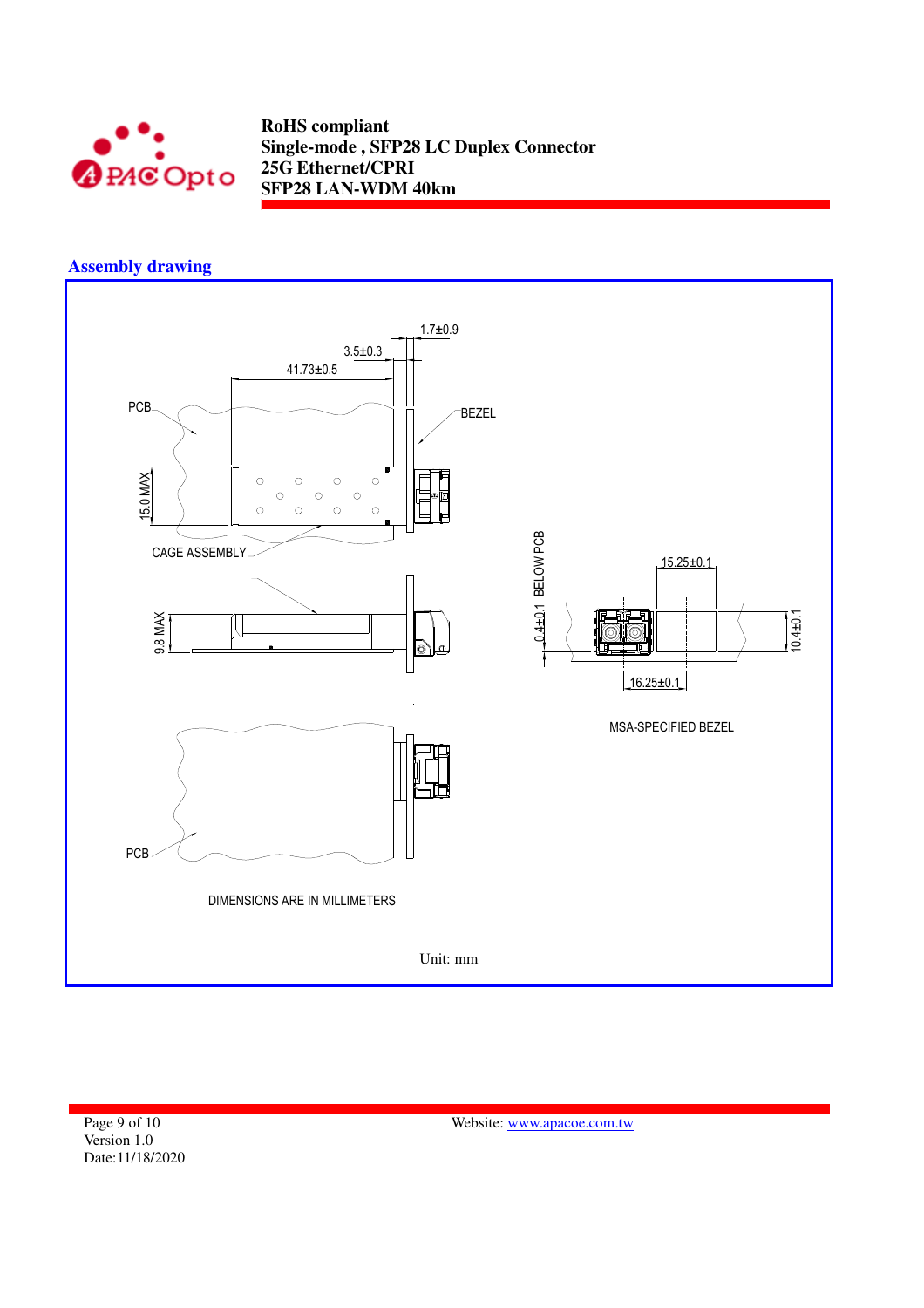

## **Assembly drawing**



Page 9 of 10 Version 1.0 Date:11/18/2020